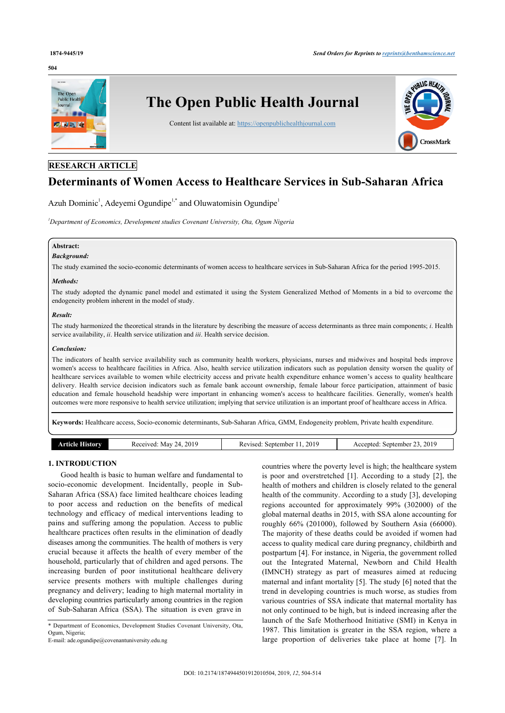#### **504**



# **RESEARCH ARTICLE**

# **Determinants of Women Access to Healthcare Services in Sub-Saharan Africa**

Azuh Dominic<sup>[1](#page-0-0)</sup>, Adeyemi Ogundipe<sup>1[,\\*](#page-0-1)</sup> and Oluwatomisin Ogundipe<sup>1</sup>

<span id="page-0-0"></span>*<sup>1</sup>Department of Economics, Development studies Covenant University, Ota, Ogum Nigeria*

# **Abstract:**

#### *Background:*

The study examined the socio-economic determinants of women access to healthcare services in Sub-Saharan Africa for the period 1995-2015.

#### *Methods:*

The study adopted the dynamic panel model and estimated it using the System Generalized Method of Moments in a bid to overcome the endogeneity problem inherent in the model of study.

#### *Result:*

The study harmonized the theoretical strands in the literature by describing the measure of access determinants as three main components; *i*. Health service availability, *ii*. Health service utilization and *iii*. Health service decision.

#### *Conclusion:*

The indicators of health service availability such as community health workers, physicians, nurses and midwives and hospital beds improve women's access to healthcare facilities in Africa. Also, health service utilization indicators such as population density worsen the quality of healthcare services available to women while electricity access and private health expenditure enhance women's access to quality healthcare delivery. Health service decision indicators such as female bank account ownership, female labour force participation, attainment of basic education and female household headship were important in enhancing women's access to healthcare facilities. Generally, women's health outcomes were more responsive to health service utilization; implying that service utilization is an important proof of healthcare access in Africa.

**Keywords:** Healthcare access, Socio-economic determinants, Sub-Saharan Africa, GMM, Endogeneity problem, Private health expenditure.

| 2019<br>Cecewed<br>istorv<br>May<br>14<br>7 CL L<br>.<br>. | 2019<br>september<br>zised<br>. רבי עי<br>rc<br>. | 2019<br>September<br>≘nted<br>$   -$<br>. |
|------------------------------------------------------------|---------------------------------------------------|-------------------------------------------|
|------------------------------------------------------------|---------------------------------------------------|-------------------------------------------|

# **1. INTRODUCTION**

Good health is basic to human welfare and fundamental to socio-economic development. Incidentally, people in Sub-Saharan Africa (SSA) face limited healthcare choices leading to poor access and reduction on the benefits of medical technology and efficacy of medical interventions leading to pains and suffering among the population. Access to public healthcare practices often results in the elimination of deadly diseases among the communities. The health of mothers is very crucial because it affects the health of every member of the household, particularly that of children and aged persons. The increasing burden of poor institutional healthcare delivery service presents mothers with multiple challenges during pregnancy and delivery; leading to high maternal mortality in developing countries particularly among countries in the region of Sub-Saharan Africa (SSA). The situation is even grave in

countries where the poverty level is high; the healthcare system is poor and overstretched[[1](#page-9-0)]. According to a study[[2](#page-9-1)], the health of mothers and children is closely related to the general health of the community. According to a study [[3](#page-9-2)], developing regions accounted for approximately 99% (302000) of the global maternal deaths in 2015, with SSA alone accounting for roughly 66% (201000), followed by Southern Asia (66000). The majority of these deaths could be avoided if women had access to quality medical care during pregnancy, childbirth and postpartum [\[4\]](#page-9-3). For instance, in Nigeria, the government rolled out the Integrated Maternal, Newborn and Child Health (IMNCH) strategy as part of measures aimed at reducing maternal and infant mortality [[5\]](#page-9-4). The study [[6](#page-9-5)] noted that the trend in developing countries is much worse, as studies from various countries of SSA indicate that maternal mortality has not only continued to be high, but is indeed increasing after the launch of the Safe Motherhood Initiative (SMI) in Kenya in 1987. This limitation is greater in the SSA region, where a large proportion of deliveries take place at home[[7](#page-9-6)]. In

<span id="page-0-1"></span><sup>\*</sup> Department of Economics, Development Studies Covenant University, Ota, Ogum, Nigeria;

E-mail: [ade.ogundipe@covenantuniversity.edu.ng](mailto:ade.ogundipe@covenantuniversity.edu.ng)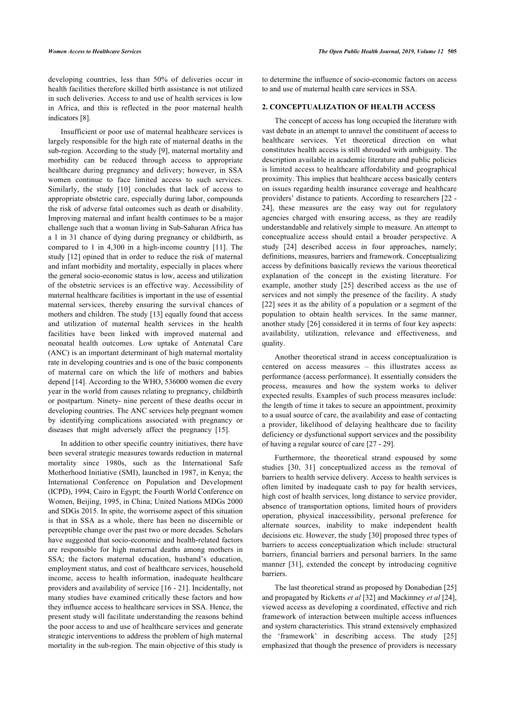developing countries, less than 50% of deliveries occur in health facilities therefore skilled birth assistance is not utilized in such deliveries. Access to and use of health services is low in Africa, and this is reflected in the poor maternal health indicators [\[8\]](#page-9-7).

Insufficient or poor use of maternal healthcare services is largely responsible for the high rate of maternal deaths in the sub-region. According to the study [\[9\]](#page-9-8), maternal mortality and morbidity can be reduced through access to appropriate healthcare during pregnancy and delivery; however, in SSA women continue to face limited access to such services. Similarly, the study[[10\]](#page-10-0) concludes that lack of access to appropriate obstetric care, especially during labor, compounds the risk of adverse fatal outcomes such as death or disability. Improving maternal and infant health continues to be a major challenge such that a woman living in Sub-Saharan Africa has a 1 in 31 chance of dying during pregnancy or childbirth, as compared to 1 in 4,300 in a high-income country[[11](#page-10-1)]. The study [[12\]](#page-10-2) opined that in order to reduce the risk of maternal and infant morbidity and mortality, especially in places where the general socio-economic status is low, access and utilization of the obstetric services is an effective way. Accessibility of maternal healthcare facilities is important in the use of essential maternal services, thereby ensuring the survival chances of mothers and children. The study [[13\]](#page-10-3) equally found that access and utilization of maternal health services in the health facilities have been linked with improved maternal and neonatal health outcomes. Low uptake of Antenatal Care (ANC) is an important determinant of high maternal mortality rate in developing countries and is one of the basic components of maternal care on which the life of mothers and babies depend [\[14](#page-10-4)]. According to the WHO, 536000 women die every year in the world from causes relating to pregnancy, childbirth or postpartum. Ninety- nine percent of these deaths occur in developing countries. The ANC services help pregnant women by identifying complications associated with pregnancy or diseases that might adversely affect the pregnancy[[15\]](#page-10-5).

In addition to other specific country initiatives, there have been several strategic measures towards reduction in maternal mortality since 1980s, such as the International Safe Motherhood Initiative (SMI), launched in 1987, in Kenya; the International Conference on Population and Development (ICPD), 1994, Cairo in Egypt; the Fourth World Conference on Women, Beijing, 1995, in China; United Nations MDGs 2000 and SDGs 2015. In spite, the worrisome aspect of this situation is that in SSA as a whole, there has been no discernible or perceptible change over the past two or more decades. Scholars have suggested that socio-economic and health-related factors are responsible for high maternal deaths among mothers in SSA; the factors maternal education, husband's education, employment status, and cost of healthcare services, household income, access to health information, inadequate healthcare providers and availability of service [\[16](#page-10-6) - [21](#page-10-7)]. Incidentally, not many studies have examined critically these factors and how they influence access to healthcare services in SSA. Hence, the present study will facilitate understanding the reasons behind the poor access to and use of healthcare services and generate strategic interventions to address the problem of high maternal mortality in the sub-region. The main objective of this study is to determine the influence of socio-economic factors on access to and use of maternal health care services in SSA.

# **2. CONCEPTUALIZATION OF HEALTH ACCESS**

The concept of access has long occupied the literature with vast debate in an attempt to unravel the constituent of access to healthcare services. Yet theoretical direction on what constitutes health access is still shrouded with ambiguity. The description available in academic literature and public policies is limited access to healthcare affordability and geographical proximity. This implies that healthcare access basically centers on issues regarding health insurance coverage and healthcare providers' distance to patients. According to researchers [[22](#page-10-8) - [24](#page-10-9)], these measures are the easy way out for regulatory agencies charged with ensuring access, as they are readily understandable and relatively simple to measure. An attempt to conceptualize access should entail a broader perspective. A study[[24\]](#page-10-9) described access in four approaches, namely; definitions, measures, barriers and framework. Conceptualizing access by definitions basically reviews the various theoretical explanation of the concept in the existing literature. For example, another study[[25](#page-10-10)] described access as the use of services and not simply the presence of the facility. A study [[22](#page-10-8)] sees it as the ability of a population or a segment of the population to obtain health services. In the same manner, another study [\[26\]](#page-10-11) considered it in terms of four key aspects: availability, utilization, relevance and effectiveness, and quality.

Another theoretical strand in access conceptualization is centered on access measures – this illustrates access as performance (access performance). It essentially considers the process, measures and how the system works to deliver expected results. Examples of such process measures include: the length of time it takes to secure an appointment, proximity to a usual source of care, the availability and ease of contacting a provider, likelihood of delaying healthcare due to facility deficiency or dysfunctional support services and the possibility of having a regular source of care [\[27](#page-10-12) - [29\]](#page-10-2).

Furthermore, the theoretical strand espoused by some studies[[30](#page-10-13), [31\]](#page-10-14) conceptualized access as the removal of barriers to health service delivery. Access to health services is often limited by inadequate cash to pay for health services, high cost of health services, long distance to service provider, absence of transportation options, limited hours of providers operation, physical inaccessibility, personal preference for alternate sources, inability to make independent health decisions etc. However, the study [[30](#page-10-13)] proposed three types of barriers to access conceptualization which include: structural barriers, financial barriers and personal barriers. In the same manner [\[31](#page-10-14)], extended the concept by introducing cognitive barriers.

The last theoretical strand as proposed by Donabedian [[25\]](#page-10-10) and propagated by Ricketts *et al* [[32\]](#page-10-5) and Mackinney *et al* [\[24](#page-10-9)], viewed access as developing a coordinated, effective and rich framework of interaction between multiple access influences and system characteristics. This strand extensively emphasized the 'framework' in describing access. The study [\[25\]](#page-10-10) emphasized that though the presence of providers is necessary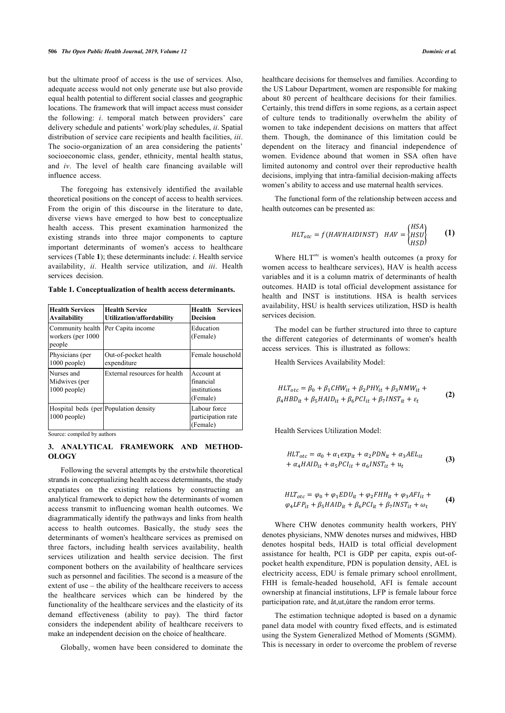but the ultimate proof of access is the use of services. Also, adequate access would not only generate use but also provide equal health potential to different social classes and geographic locations. The framework that will impact access must consider the following: *i*. temporal match between providers' care delivery schedule and patients' work/play schedules, *ii*. Spatial distribution of service care recipients and health facilities, *iii*. The socio-organization of an area considering the patients' socioeconomic class, gender, ethnicity, mental health status, and *iv*. The level of health care financing available will influence access.

The foregoing has extensively identified the available theoretical positions on the concept of access to health services. From the origin of this discourse in the literature to date, diverse views have emerged to how best to conceptualize health access. This present examination harmonized the existing strands into three major components to capture important determinants of women's access to healthcare services (Table **[1](#page-2-0)**); these determinants include: *i*. Health service availability, *ii*. Health service utilization, and *iii*. Health services decision.

<span id="page-2-0"></span>**Table 1. Conceptualization of health access determinants.**

| <b>Health Services</b><br><b>Availability</b>           | <b>Health Service</b><br>Utilization/affordability | <b>Health Services</b><br><b>Decision</b>           |
|---------------------------------------------------------|----------------------------------------------------|-----------------------------------------------------|
| Community health<br>workers (per 1000<br>people         | Per Capita income                                  | Education<br>(Female)                               |
| Physicians (per<br>$1000$ people)                       | Out-of-pocket health<br>expenditure                | Female household                                    |
| Nurses and<br>Midwives (per<br>$1000$ people)           | External resources for health                      | Account at<br>financial<br>institutions<br>(Female) |
| Hospital beds (per Population density<br>$1000$ people) |                                                    | Labour force<br>participation rate<br>(Female)      |

Source: compiled by authors

# **3. ANALYTICAL FRAMEWORK AND METHOD-OLOGY**

Following the several attempts by the erstwhile theoretical strands in conceptualizing health access determinants, the study expatiates on the existing relations by constructing an analytical framework to depict how the determinants of women access transmit to influencing woman health outcomes. We diagrammatically identify the pathways and links from health access to health outcomes. Basically, the study sees the determinants of women's healthcare services as premised on three factors, including health services availability, health services utilization and health service decision. The first component bothers on the availability of healthcare services such as personnel and facilities. The second is a measure of the extent of use – the ability of the healthcare receivers to access the healthcare services which can be hindered by the functionality of the healthcare services and the elasticity of its demand effectiveness (ability to pay). The third factor considers the independent ability of healthcare receivers to make an independent decision on the choice of healthcare.

Globally, women have been considered to dominate the

healthcare decisions for themselves and families. According to the US Labour Department, women are responsible for making about 80 percent of healthcare decisions for their families. Certainly, this trend differs in some regions, as a certain aspect of culture tends to traditionally overwhelm the ability of women to take independent decisions on matters that affect them. Though, the dominance of this limitation could be dependent on the literacy and financial independence of women. Evidence abound that women in SSA often have limited autonomy and control over their reproductive health decisions, implying that intra-familial decision-making affects women's ability to access and use maternal health services.

The functional form of the relationship between access and health outcomes can be presented as:

$$
HLT_{otc} = f(HAVHAIDINST) \quad HAV = \begin{cases} HSA \\ HSU \\ HSD \end{cases} \tag{1}
$$

Where  $HLT<sup>ote</sup>$  is women's health outcomes (a proxy for women access to healthcare services), HAV is health access variables and it is a column matrix of determinants of health outcomes. HAID is total official development assistance for health and INST is institutions. HSA is health services availability, HSU is health services utilization, HSD is health services decision.

The model can be further structured into three to capture the different categories of determinants of women's health access services. This is illustrated as follows:

Health Services Availability Model:

$$
HLT_{otc} = \beta_0 + \beta_1 CHW_{it} + \beta_2 PHY_{it} + \beta_3 NMW_{it} +
$$
  
\n
$$
\beta_4 HBD_{it} + \beta_5 HAID_{it} + \beta_6 PCI_{it} + \beta_7 INST_{it} + \varepsilon_t
$$
 (2)

Health Services Utilization Model:

$$
HLT_{otc} = \alpha_0 + \alpha_1 exp_{it} + \alpha_2 PDN_{it} + \alpha_3 AEL_{it}
$$
  
+  $\alpha_4 HAID_{it} + \alpha_5 PCI_{it} + \alpha_6 INST_{it} + u_t$  (3)

$$
HLT_{otc} = \varphi_0 + \varphi_1 EDU_{it} + \varphi_2 FHH_{it} + \varphi_3 AFI_{it} +
$$
  
\n
$$
\varphi_4 LFP_{it} + \beta_5 HAID_{it} + \beta_6 PCI_{it} + \beta_7 INST_{it} + \omega_t
$$
 (4)

Where CHW denotes community health workers, PHY denotes physicians, NMW denotes nurses and midwives, HBD denotes hospital beds, HAID is total official development assistance for health, PCI is GDP per capita, expis out-ofpocket health expenditure, PDN is population density, AEL is electricity access, EDU is female primary school enrollment, FHH is female-headed household, AFI is female account ownership at financial institutions, LFP is female labour force participation rate, and åt,ut,ùtare the random error terms.

The estimation technique adopted is based on a dynamic panel data model with country fixed effects, and is estimated using the System Generalized Method of Moments (SGMM). This is necessary in order to overcome the problem of reverse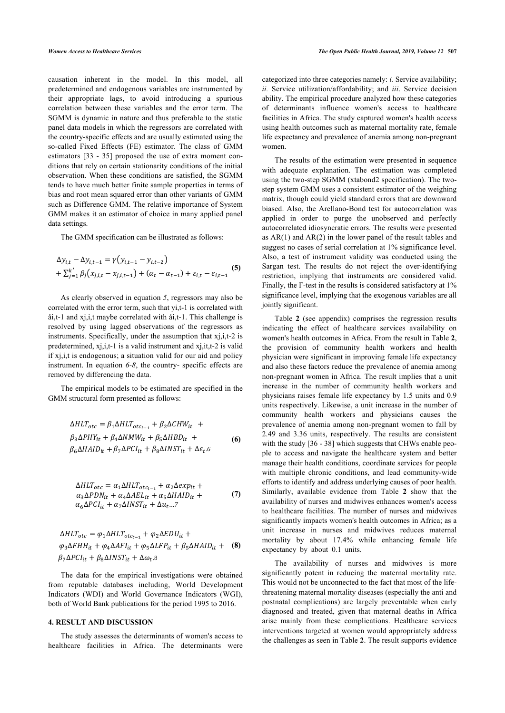causation inherent in the model. In this model, all predetermined and endogenous variables are instrumented by their appropriate lags, to avoid introducing a spurious correlation between these variables and the error term. The SGMM is dynamic in nature and thus preferable to the static panel data models in which the regressors are correlated with the country-specific effects and are usually estimated using the so-called Fixed Effects (FE) estimator. The class of GMM estimators [\[33](#page-10-15) - [35](#page-10-16)] proposed the use of extra moment conditions that rely on certain stationarity conditions of the initial observation. When these conditions are satisfied, the SGMM tends to have much better finite sample properties in terms of bias and root mean squared error than other variants of GMM such as Difference GMM. The relative importance of System GMM makes it an estimator of choice in many applied panel data settings.

The GMM specification can be illustrated as follows:

$$
\Delta y_{i,t} - \Delta y_{i,t-1} = \gamma (y_{i,t-1} - y_{i,t-2}) + \sum_{j=1}^{k'} \beta_j (x_{j,i,t} - x_{j,i,t-1}) + (\alpha_t - \alpha_{t-1}) + \varepsilon_{i,t} - \varepsilon_{i,t-1}
$$
 (5)

As clearly observed in equation *5*, regressors may also be correlated with the error term, such that yi,t-1 is correlated with åi,t-1 and xj,i,t maybe correlated with åi,t-1. This challenge is resolved by using lagged observations of the regressors as instruments. Specifically, under the assumption that xj,i,t-2 is predetermined, xj,i,t-1 is a valid instrument and xj,it,t-2 is valid if xj,i,t is endogenous; a situation valid for our aid and policy instrument. In equation *6-8*, the country- specific effects are removed by differencing the data.

The empirical models to be estimated are specified in the GMM structural form presented as follows:

$$
\Delta HLT_{otc} = \beta_1 \Delta HLT_{otc_{t-1}} + \beta_2 \Delta CHW_{it} +
$$
  
\n
$$
\beta_3 \Delta PHY_{it} + \beta_4 \Delta NMW_{it} + \beta_5 \Delta HBD_{it} +
$$
  
\n
$$
\beta_6 \Delta HAID_{it} + \beta_7 \Delta PCI_{it} + \beta_8 \Delta INST_{it} + \Delta \varepsilon_t.6
$$
\n(6)

$$
\Delta HLT_{otc} = \alpha_1 \Delta HLT_{otc_{t-1}} + \alpha_2 \Delta exp_{it} +
$$
  
\n
$$
\alpha_3 \Delta PDN_{it} + \alpha_4 \Delta AEL_{it} + \alpha_5 \Delta HAID_{it} +
$$
  
\n
$$
\alpha_6 \Delta PCI_{it} + \alpha_7 \Delta INST_{it} + \Delta u_t ...
$$
\n(7)

$$
\Delta HLT_{otc} = \varphi_1 \Delta HLT_{otc_{t-1}} + \varphi_2 \Delta EDU_{it} +
$$
  
\n
$$
\varphi_3 \Delta FHH_{it} + \varphi_4 \Delta AFI_{it} + \varphi_5 \Delta LFP_{it} + \beta_5 \Delta HAID_{it} +
$$
  
\n
$$
\beta_7 \Delta PCI_{it} + \beta_8 \Delta INST_{it} + \Delta \omega_t.8
$$

The data for the empirical investigations were obtained from reputable databases including, World Development Indicators (WDI) and World Governance Indicators (WGI), both of World Bank publications for the period 1995 to 2016.

#### **4. RESULT AND DISCUSSION**

The study assesses the determinants of women's access to healthcare facilities in Africa. The determinants were categorized into three categories namely: *i.* Service availability; *ii.* Service utilization/affordability; and *iii*. Service decision ability. The empirical procedure analyzed how these categories of determinants influence women's access to healthcare facilities in Africa. The study captured women's health access using health outcomes such as maternal mortality rate, female life expectancy and prevalence of anemia among non-pregnant women.

The results of the estimation were presented in sequence with adequate explanation. The estimation was completed using the two-step SGMM (xtabond2 specification). The twostep system GMM uses a consistent estimator of the weighing matrix, though could yield standard errors that are downward biased. Also, the Arellano-Bond test for autocorrelation was applied in order to purge the unobserved and perfectly autocorrelated idiosyncratic errors. The results were presented as  $AR(1)$  and  $AR(2)$  in the lower panel of the result tables and suggest no cases of serial correlation at 1% significance level. Also, a test of instrument validity was conducted using the Sargan test. The results do not reject the over-identifying restriction, implying that instruments are considered valid. Finally, the F-test in the results is considered satisfactory at 1% significance level, implying that the exogenous variables are all jointly significant.

Table**2** (see appendix) comprises the regression results indicating the effect of healthcare services availability on women's health outcomes in Africa. From the result in Table **[2](#page-5-0)**, the provision of community health workers and health physician were significant in improving female life expectancy and also these factors reduce the prevalence of anemia among non-pregnant women in Africa. The result implies that a unit increase in the number of community health workers and physicians raises female life expectancy by 1.5 units and 0.9 units respectively. Likewise, a unit increase in the number of community health workers and physicians causes the prevalence of anemia among non-pregnant women to fall by 2.49 and 3.36 units, respectively. The results are consistent with the study [[36](#page-10-17) - [38](#page-10-7)] which suggests that CHWs enable people to access and navigate the healthcare system and better manage their health conditions, coordinate services for people with multiple chronic conditions, and lead community-wide efforts to identify and address underlying causes of poor health. Similarly, available evidence from Table**2** show that the availability of nurses and midwives enhances women's access to healthcare facilities. The number of nurses and midwives significantly impacts women's health outcomes in Africa; as a unit increase in nurses and midwives reduces maternal mortality by about 17.4% while enhancing female life expectancy by about 0.1 units.

The availability of nurses and midwives is more significantly potent in reducing the maternal mortality rate. This would not be unconnected to the fact that most of the lifethreatening maternal mortality diseases (especially the anti and postnatal complications) are largely preventable when early diagnosed and treated, given that maternal deaths in Africa arise mainly from these complications. Healthcare services interventions targeted at women would appropriately address the challenges as seen in Table **[2](#page-5-0)**. The result supports evidence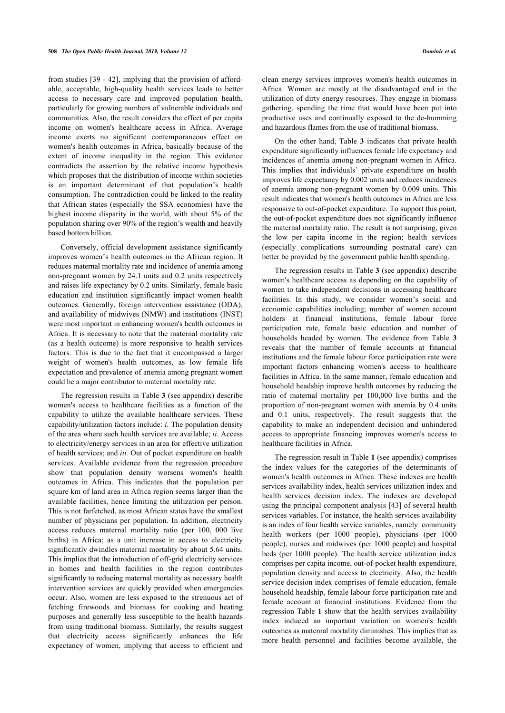from studies [\[39](#page-10-18) - [42\]](#page-10-19), implying that the provision of affordable, acceptable, high-quality health services leads to better access to necessary care and improved population health, particularly for growing numbers of vulnerable individuals and communities. Also, the result considers the effect of per capita income on women's healthcare access in Africa. Average income exerts no significant contemporaneous effect on women's health outcomes in Africa, basically because of the extent of income inequality in the region. This evidence contradicts the assertion by the relative income hypothesis which proposes that the distribution of income within societies is an important determinant of that population's health consumption. The contradiction could be linked to the reality that African states (especially the SSA economies) have the highest income disparity in the world, with about 5% of the population sharing over 90% of the region's wealth and heavily based bottom billion.

Conversely, official development assistance significantly improves women's health outcomes in the African region. It reduces maternal mortality rate and incidence of anemia among non-pregnant women by 24.1 units and 0.2 units respectively and raises life expectancy by 0.2 units. Similarly, female basic education and institution significantly impact women health outcomes. Generally, foreign intervention assistance (ODA), and availability of midwives (NMW) and institutions (INST) were most important in enhancing women's health outcomes in Africa. It is necessary to note that the maternal mortality rate (as a health outcome) is more responsive to health services factors. This is due to the fact that it encompassed a larger weight of women's health outcomes, as low female life expectation and prevalence of anemia among pregnant women could be a major contributor to maternal mortality rate.

The regression results in Table **[3](#page-6-0)** (see appendix) describe women's access to healthcare facilities as a function of the capability to utilize the available healthcare services. These capability/utilization factors include: *i.* The population density of the area where such health services are available; *ii*. Access to electricity/energy services in an area for effective utilization of health services; and *iii.* Out of pocket expenditure on health services. Available evidence from the regression procedure show that population density worsens women's health outcomes in Africa. This indicates that the population per square km of land area in Africa region seems larger than the available facilities, hence limiting the utilization per person. This is not farfetched, as most African states have the smallest number of physicians per population. In addition, electricity access reduces maternal mortality ratio (per 100, 000 live births) in Africa; as a unit increase in access to electricity significantly dwindles maternal mortality by about 5.64 units. This implies that the introduction of off-grid electricity services in homes and health facilities in the region contributes significantly to reducing maternal mortality as necessary health intervention services are quickly provided when emergencies occur. Also, women are less exposed to the strenuous act of fetching firewoods and biomass for cooking and heating purposes and generally less susceptible to the health hazards from using traditional biomass. Similarly, the results suggest that electricity access significantly enhances the life expectancy of women, implying that access to efficient and clean energy services improves women's health outcomes in Africa. Women are mostly at the disadvantaged end in the utilization of dirty energy resources. They engage in biomass gathering, spending the time that would have been put into productive uses and continually exposed to the de-humming and hazardous flames from the use of traditional biomass.

On the other hand, Table**3** indicates that private health expenditure significantly influences female life expectancy and incidences of anemia among non-pregnant women in Africa. This implies that individuals' private expenditure on health improves life expectancy by 0.002 units and reduces incidences of anemia among non-pregnant women by 0.009 units. This result indicates that women's health outcomes in Africa are less responsive to out-of-pocket expenditure. To support this point, the out-of-pocket expenditure does not significantly influence the maternal mortality ratio. The result is not surprising, given the low per capita income in the region; health services (especially complications surrounding postnatal care) can better be provided by the government public health spending.

The regression results in Table **[3](#page-6-0)** (see appendix) describe women's healthcare access as depending on the capability of women to take independent decisions in accessing healthcare facilities. In this study, we consider women's social and economic capabilities including; number of women account holders at financial institutions, female labour force participation rate, female basic education and number of households headed by women. The evidence from Table**3** reveals that the number of female accounts at financial institutions and the female labour force participation rate were important factors enhancing women's access to healthcare facilities in Africa. In the same manner, female education and household headship improve health outcomes by reducing the ratio of maternal mortality per 100,000 live births and the proportion of non-pregnant women with anemia by 0.4 units and 0.1 units, respectively. The result suggests that the capability to make an independent decision and unhindered access to appropriate financing improves women's access to healthcare facilities in Africa.

The regression result in Table **[1](#page-2-0)** (see appendix) comprises the index values for the categories of the determinants of women's health outcomes in Africa. These indexes are health services availability index, health services utilization index and health services decision index. The indexes are developed using the principal component analysis [\[43\]](#page-10-20) of several health services variables. For instance, the health services availability is an index of four health service variables, namely: community health workers (per 1000 people), physicians (per 1000 people), nurses and midwives (per 1000 people) and hospital beds (per 1000 people). The health service utilization index comprises per capita income, out-of-pocket health expenditure, population density and access to electricity. Also, the health service decision index comprises of female education, female household headship, female labour force participation rate and female account at financial institutions. Evidence from the regression Table **[1](#page-2-0)** show that the health services availability index induced an important variation on women's health outcomes as maternal mortality diminishes. This implies that as more health personnel and facilities become available, the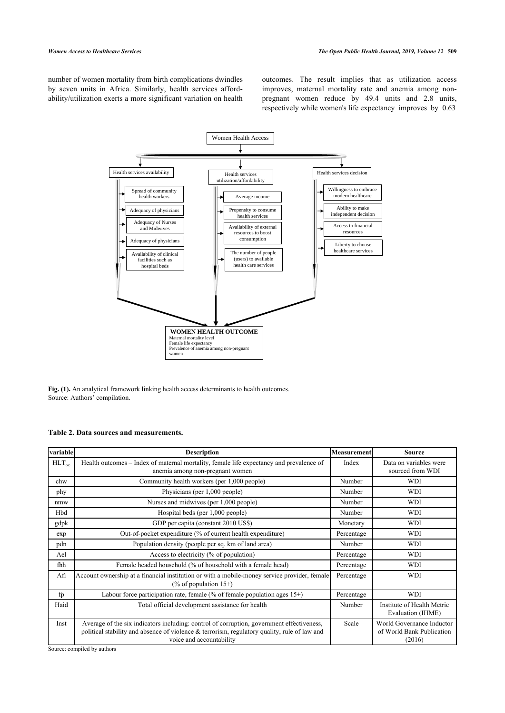number of women mortality from birth complications dwindles by seven units in Africa. Similarly, health services affordability/utilization exerts a more significant variation on health outcomes. The result implies that as utilization access improves, maternal mortality rate and anemia among nonpregnant women reduce by 49.4 units and 2.8 units, respectively while women's life expectancy improves by 0.63



**Fig. (1).** An analytical framework linking health access determinants to health outcomes. Source: Authors' compilation.

# <span id="page-5-0"></span>**Table 2. Data sources and measurements.**

| variable           | <b>Description</b>                                                                                                                                                                                                    | Measurement | <b>Source</b>                                                    |
|--------------------|-----------------------------------------------------------------------------------------------------------------------------------------------------------------------------------------------------------------------|-------------|------------------------------------------------------------------|
| $HLT_{\text{ote}}$ | Health outcomes - Index of maternal mortality, female life expectancy and prevalence of<br>anemia among non-pregnant women                                                                                            | Index       | Data on variables were<br>sourced from WDI                       |
| chw                | Community health workers (per 1,000 people)                                                                                                                                                                           | Number      | <b>WDI</b>                                                       |
| phy                | Physicians (per 1,000 people)                                                                                                                                                                                         | Number      | <b>WDI</b>                                                       |
| nmw                | Nurses and midwives (per 1,000 people)                                                                                                                                                                                | Number      | WDI                                                              |
| Hbd                | Hospital beds (per 1,000 people)                                                                                                                                                                                      | Number      | WDI                                                              |
| gdpk               | GDP per capita (constant 2010 US\$)                                                                                                                                                                                   | Monetary    | WDI                                                              |
| exp                | Out-of-pocket expenditure (% of current health expenditure)                                                                                                                                                           | Percentage  | <b>WDI</b>                                                       |
| pdn                | Population density (people per sq. km of land area)                                                                                                                                                                   | Number      | <b>WDI</b>                                                       |
| Ael                | Access to electricity (% of population)                                                                                                                                                                               | Percentage  | <b>WDI</b>                                                       |
| fhh                | Female headed household (% of household with a female head)                                                                                                                                                           | Percentage  | <b>WDI</b>                                                       |
| Afi                | Account ownership at a financial institution or with a mobile-money service provider, female<br>(% of population $15+$ )                                                                                              | Percentage  | <b>WDI</b>                                                       |
| fp                 | Labour force participation rate, female $(\%$ of female population ages $15+)$                                                                                                                                        | Percentage  | <b>WDI</b>                                                       |
| Haid               | Total official development assistance for health                                                                                                                                                                      | Number      | Institute of Health Metric<br>Evaluation (IHME)                  |
| Inst               | Average of the six indicators including: control of corruption, government effectiveness,<br>political stability and absence of violence & terrorism, regulatory quality, rule of law and<br>voice and accountability | Scale       | World Governance Inductor<br>of World Bank Publication<br>(2016) |

Source: compiled by authors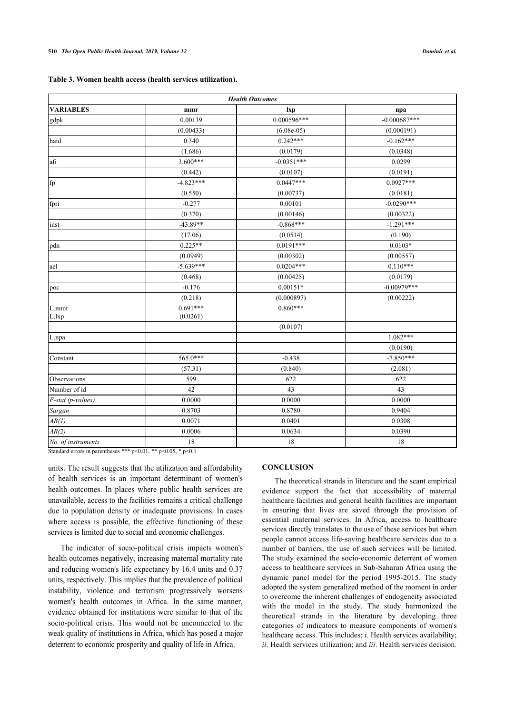<span id="page-6-0"></span>

|  |  |  | Table 3. Women health access (health services utilization). |  |
|--|--|--|-------------------------------------------------------------|--|
|  |  |  |                                                             |  |

| <b>Health Outcomes</b> |             |              |                |  |
|------------------------|-------------|--------------|----------------|--|
| <b>VARIABLES</b>       | mmr         | lxp          | npa            |  |
| gdpk                   | 0.00139     | 0.000596***  | $-0.000687***$ |  |
|                        | (0.00433)   | $(6.08e-05)$ | (0.000191)     |  |
| haid                   | 0.340       | $0.242***$   | $-0.162***$    |  |
|                        | (1.686)     | (0.0179)     | (0.0348)       |  |
| afi                    | 3.600***    | $-0.0351***$ | 0.0299         |  |
|                        | (0.442)     | (0.0107)     | (0.0191)       |  |
| fp                     | $-4.823***$ | $0.0447***$  | $0.0927***$    |  |
|                        | (0.550)     | (0.00737)    | (0.0181)       |  |
| fpri                   | $-0.277$    | 0.00101      | $-0.0290***$   |  |
|                        | (0.370)     | (0.00146)    | (0.00322)      |  |
| inst                   | $-43.89**$  | $-0.868***$  | $-1.291***$    |  |
|                        | (17.06)     | (0.0514)     | (0.190)        |  |
| pdn                    | $0.225**$   | $0.0191***$  | $0.0103*$      |  |
|                        | (0.0949)    | (0.00302)    | (0.00557)      |  |
| ael                    | $-5.639***$ | $0.0204***$  | $0.110***$     |  |
|                        | (0.468)     | (0.00425)    | (0.0179)       |  |
| poc                    | $-0.176$    | $0.00151*$   | $-0.00979***$  |  |
|                        | (0.218)     | (0.000897)   | (0.00222)      |  |
| L.mmr                  | $0.691***$  | $0.860***$   |                |  |
| L.lxp                  | (0.0261)    |              |                |  |
|                        |             | (0.0107)     |                |  |
| L.npa                  |             |              | $1.082***$     |  |
|                        |             |              | (0.0190)       |  |
| Constant               | 565.0***    | $-0.438$     | $-7.850***$    |  |
|                        | (57.31)     | (0.840)      | (2.081)        |  |
| Observations           | 599         | 622          | 622            |  |
| Number of id           | 42          | 43           | 43             |  |
| F-stat (p-values)      | 0.0000      | 0.0000       | 0.0000         |  |
| Sargan                 | 0.8703      | 0.8780       | 0.9404         |  |
| AR(1)                  | 0.0071      | 0.0401       | 0.0308         |  |
| AR(2)                  | 0.0006      | 0.0634       | 0.0390         |  |
| No. of instruments     | 18          | 18           | 18             |  |

Standard errors in parentheses \*\*\* p<0.01, \*\* p<0.05, \* p<0.1

units. The result suggests that the utilization and affordability of health services is an important determinant of women's health outcomes. In places where public health services are unavailable, access to the facilities remains a critical challenge due to population density or inadequate provisions. In cases where access is possible, the effective functioning of these services is limited due to social and economic challenges.

The indicator of socio-political crisis impacts women's health outcomes negatively, increasing maternal mortality rate and reducing women's life expectancy by 16.4 units and 0.37 units, respectively. This implies that the prevalence of political instability, violence and terrorism progressively worsens women's health outcomes in Africa. In the same manner, evidence obtained for institutions were similar to that of the socio-political crisis. This would not be unconnected to the weak quality of institutions in Africa, which has posed a major deterrent to economic prosperity and quality of life in Africa.

# **CONCLUSION**

The theoretical strands in literature and the scant empirical evidence support the fact that accessibility of maternal healthcare facilities and general health facilities are important in ensuring that lives are saved through the provision of essential maternal services. In Africa, access to healthcare services directly translates to the use of these services but when people cannot access life-saving healthcare services due to a number of barriers, the use of such services will be limited. The study examined the socio-economic deterrent of women access to healthcare services in Sub-Saharan Africa using the dynamic panel model for the period 1995-2015. The study adopted the system generalized method of the moment in order to overcome the inherent challenges of endogeneity associated with the model in the study. The study harmonized the theoretical strands in the literature by developing three categories of indicators to measure components of women's healthcare access. This includes; *i*. Health services availability; *ii*. Health services utilization; and *iii*. Health services decision.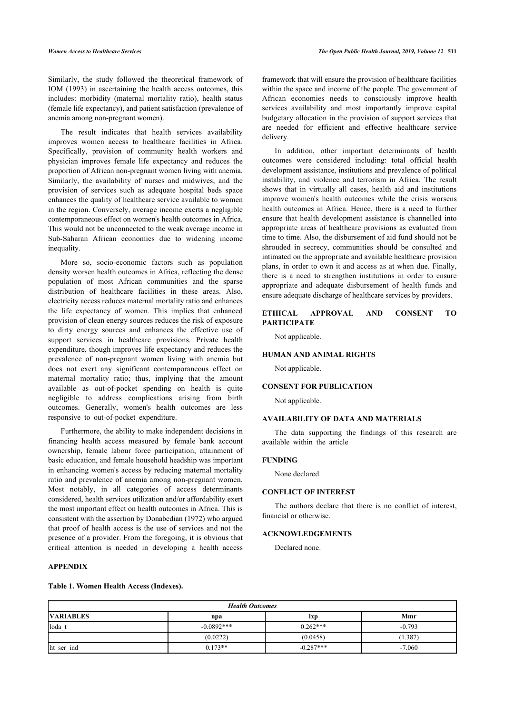Similarly, the study followed the theoretical framework of IOM (1993) in ascertaining the health access outcomes, this includes: morbidity (maternal mortality ratio), health status (female life expectancy), and patient satisfaction (prevalence of anemia among non-pregnant women).

The result indicates that health services availability improves women access to healthcare facilities in Africa. Specifically, provision of community health workers and physician improves female life expectancy and reduces the proportion of African non-pregnant women living with anemia. Similarly, the availability of nurses and midwives, and the provision of services such as adequate hospital beds space enhances the quality of healthcare service available to women in the region. Conversely, average income exerts a negligible contemporaneous effect on women's health outcomes in Africa. This would not be unconnected to the weak average income in Sub-Saharan African economies due to widening income inequality.

More so, socio-economic factors such as population density worsen health outcomes in Africa, reflecting the dense population of most African communities and the sparse distribution of healthcare facilities in these areas. Also, electricity access reduces maternal mortality ratio and enhances the life expectancy of women. This implies that enhanced provision of clean energy sources reduces the risk of exposure to dirty energy sources and enhances the effective use of support services in healthcare provisions. Private health expenditure, though improves life expectancy and reduces the prevalence of non-pregnant women living with anemia but does not exert any significant contemporaneous effect on maternal mortality ratio; thus, implying that the amount available as out-of-pocket spending on health is quite negligible to address complications arising from birth outcomes. Generally, women's health outcomes are less responsive to out-of-pocket expenditure.

Furthermore, the ability to make independent decisions in financing health access measured by female bank account ownership, female labour force participation, attainment of basic education, and female household headship was important in enhancing women's access by reducing maternal mortality ratio and prevalence of anemia among non-pregnant women. Most notably, in all categories of access determinants considered, health services utilization and/or affordability exert the most important effect on health outcomes in Africa. This is consistent with the assertion by Donabedian (1972) who argued that proof of health access is the use of services and not the presence of a provider. From the foregoing, it is obvious that critical attention is needed in developing a health access

### **APPENDIX**

**Table 1. Women Health Access (Indexes).**

framework that will ensure the provision of healthcare facilities within the space and income of the people. The government of African economies needs to consciously improve health services availability and most importantly improve capital budgetary allocation in the provision of support services that are needed for efficient and effective healthcare service delivery.

In addition, other important determinants of health outcomes were considered including: total official health development assistance, institutions and prevalence of political instability, and violence and terrorism in Africa. The result shows that in virtually all cases, health aid and institutions improve women's health outcomes while the crisis worsens health outcomes in Africa. Hence, there is a need to further ensure that health development assistance is channelled into appropriate areas of healthcare provisions as evaluated from time to time. Also, the disbursement of aid fund should not be shrouded in secrecy, communities should be consulted and intimated on the appropriate and available healthcare provision plans, in order to own it and access as at when due. Finally, there is a need to strengthen institutions in order to ensure appropriate and adequate disbursement of health funds and ensure adequate discharge of healthcare services by providers.

# **ETHICAL APPROVAL AND CONSENT TO PARTICIPATE**

Not applicable.

#### **HUMAN AND ANIMAL RIGHTS**

Not applicable.

## **CONSENT FOR PUBLICATION**

Not applicable.

#### **AVAILABILITY OF DATA AND MATERIALS**

The data supporting the findings of this research are available within the article

#### **FUNDING**

None declared.

### **CONFLICT OF INTEREST**

The authors declare that there is no conflict of interest, financial or otherwise.

# **ACKNOWLEDGEMENTS**

Declared none.

| <b>Health Outcomes</b>                |              |             |          |  |  |
|---------------------------------------|--------------|-------------|----------|--|--|
| <b>VARIABLES</b><br>Mmr<br>lxp<br>npa |              |             |          |  |  |
| loda_t                                | $-0.0892***$ | $0.262***$  | $-0.793$ |  |  |
|                                       | (0.0222)     | (0.0458)    | (1.387)  |  |  |
| ht_ser_ind                            | $0.173**$    | $-0.287***$ | $-7.060$ |  |  |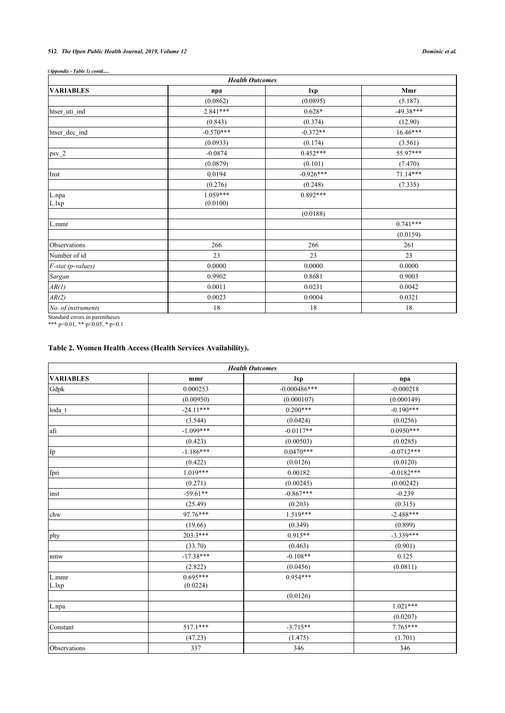# **512** *The Open Public Health Journal, 2019, Volume 12 Dominic et al.*

| (Appendix - Table 1) contd |  |  |
|----------------------------|--|--|
|----------------------------|--|--|

| <b>Health Outcomes</b>    |             |             |             |  |
|---------------------------|-------------|-------------|-------------|--|
| <b>VARIABLES</b>          | npa         | lxp         | Mmr         |  |
|                           | (0.0862)    | (0.0895)    | (5.187)     |  |
| htser_uti_ind             | $2.841***$  | $0.628*$    | $-49.38***$ |  |
|                           | (0.843)     | (0.374)     | (12.90)     |  |
| htser_dec_ind             | $-0.570***$ | $-0.372**$  | 16.46***    |  |
|                           | (0.0933)    | (0.174)     | (3.561)     |  |
| $psv_2$                   | $-0.0874$   | $0.452***$  | 55.97***    |  |
|                           | (0.0879)    | (0.101)     | (7.470)     |  |
| Inst                      | 0.0194      | $-0.926***$ | $71.14***$  |  |
|                           | (0.276)     | (0.248)     | (7.335)     |  |
| $\mathbf{L}.\mathsf{npa}$ | $1.059***$  | $0.892***$  |             |  |
| L.lxp                     | (0.0100)    |             |             |  |
|                           |             | (0.0188)    |             |  |
| L.mmr                     |             |             | $0.741***$  |  |
|                           |             |             | (0.0159)    |  |
| Observations              | 266         | 266         | 261         |  |
| Number of id              | 23          | 23          | 23          |  |
| F-stat (p-values)         | 0.0000      | 0.0000      | 0.0000      |  |
| Sargan                    | 0.9902      | 0.8681      | 0.9003      |  |
| AR(I)                     | 0.0011      | 0.0231      | 0.0042      |  |
| AR(2)                     | 0.0023      | 0.0004      | 0.0321      |  |
| No. of instruments        | 18          | 18          | 18          |  |

Standard errors in parentheses

#### \*\*\* p<0.01, \*\* p<0.05, \* p<0.1

# **Table 2. Women Health Access (Health Services Availability).**

| <b>Health Outcomes</b> |             |                |              |
|------------------------|-------------|----------------|--------------|
| <b>VARIABLES</b>       | mmr         | lxp            | npa          |
| Gdpk                   | 0.000253    | $-0.000486***$ | $-0.000218$  |
|                        | (0.00950)   | (0.000107)     | (0.000149)   |
| loda t                 | $-24.11***$ | $0.200***$     | $-0.190***$  |
|                        | (3.544)     | (0.0424)       | (0.0256)     |
| afi                    | $-1.099***$ | $-0.0117**$    | $0.0950***$  |
|                        | (0.423)     | (0.00503)      | (0.0285)     |
| fp                     | $-1.186***$ | $0.0470***$    | $-0.0712***$ |
|                        | (0.422)     | (0.0126)       | (0.0120)     |
| fpri                   | $1.019***$  | 0.00182        | $-0.0182***$ |
|                        | (0.271)     | (0.00245)      | (0.00242)    |
| inst                   | $-59.61**$  | $-0.867***$    | $-0.239$     |
|                        | (25.49)     | (0.203)        | (0.315)      |
| chw                    | 97.76***    | $1.519***$     | $-2.488***$  |
|                        | (19.66)     | (0.349)        | (0.899)      |
| phy                    | $203.3***$  | $0.915**$      | $-3.359***$  |
|                        | (33.70)     | (0.463)        | (0.901)      |
| nmw                    | $-17.38***$ | $-0.108**$     | 0.125        |
|                        | (2.822)     | (0.0456)       | (0.0811)     |
| L.mmr                  | $0.695***$  | $0.954***$     |              |
| L.lxp                  | (0.0224)    |                |              |
|                        |             | (0.0126)       |              |
| L.npa                  |             |                | $1.021***$   |
|                        |             |                | (0.0207)     |
| Constant               | $517.1***$  | $-3.715**$     | $7.765***$   |
|                        | (47.23)     | (1.475)        | (1.701)      |
| Observations           | 337         | 346            | 346          |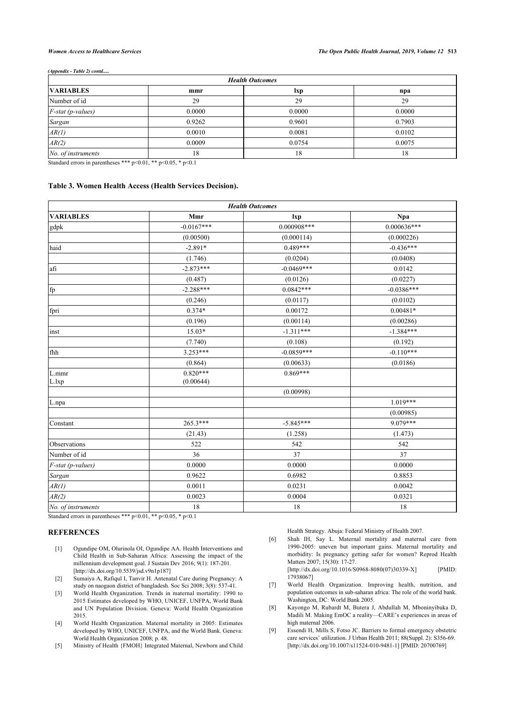*(Appendix - Table 2) contd.....*

| <b>Health Outcomes</b> |        |        |        |
|------------------------|--------|--------|--------|
| <b>VARIABLES</b>       | mmr    | lxp    | npa    |
| Number of id           | 29     | 29     | 29     |
| $F$ -stat (p-values)   | 0.0000 | 0.0000 | 0.0000 |
| Sargan                 | 0.9262 | 0.9601 | 0.7903 |
| AR(1)                  | 0.0010 | 0.0081 | 0.0102 |
| AR(2)                  | 0.0009 | 0.0754 | 0.0075 |
| No. of instruments     | 18     | 18     | 18     |
|                        |        |        |        |

Standard errors in parentheses \*\*\* p<0.01, \*\* p<0.05, \* p<0.1

### **Table 3. Women Health Access (Health Services Decision).**

| <b>Health Outcomes</b> |                         |               |               |  |
|------------------------|-------------------------|---------------|---------------|--|
| <b>VARIABLES</b>       | Mmr                     | lxp           | <b>Npa</b>    |  |
| gdpk                   | $-0.0167***$            | $0.000908***$ | $0.000636***$ |  |
|                        | (0.00500)               | (0.000114)    | (0.000226)    |  |
| haid                   | $-2.891*$               | $0.489***$    | $-0.436***$   |  |
|                        | (1.746)                 | (0.0204)      | (0.0408)      |  |
| afi                    | $-2.873***$             | $-0.0469***$  | 0.0142        |  |
|                        | (0.487)                 | (0.0126)      | (0.0227)      |  |
| fp                     | $-2.288***$             | $0.0842***$   | $-0.0386***$  |  |
|                        | (0.246)                 | (0.0117)      | (0.0102)      |  |
| fpri                   | $0.374*$                | 0.00172       | $0.00481*$    |  |
|                        | (0.196)                 | (0.00114)     | (0.00286)     |  |
| inst                   | $15.03*$                | $-1.311***$   | $-1.384***$   |  |
|                        | (7.740)                 | (0.108)       | (0.192)       |  |
| fhh                    | $3.253***$              | $-0.0859***$  | $-0.110***$   |  |
|                        | (0.864)                 | (0.00633)     | (0.0186)      |  |
| L.mmr<br>L.lxp         | $0.820***$<br>(0.00644) | $0.869***$    |               |  |
|                        |                         | (0.00998)     |               |  |
| L.npa                  |                         |               | $1.019***$    |  |
|                        |                         |               | (0.00985)     |  |
| Constant               | $265.3***$              | $-5.845***$   | 9.079***      |  |
|                        | (21.43)                 | (1.258)       | (1.473)       |  |
| Observations           | 522                     | 542           | 542           |  |
| Number of id           | 36                      | 37            | 37            |  |
| F-stat (p-values)      | 0.0000                  | 0.0000        | 0.0000        |  |
| Sargan                 | 0.9622                  | 0.6982        | 0.8853        |  |
| AR(1)                  | 0.0011                  | 0.0231        | 0.0042        |  |
| AR(2)                  | 0.0023                  | 0.0004        | 0.0321        |  |
| No. of instruments     | 18                      | $18\,$        | 18            |  |

Standard errors in parentheses \*\*\*  $p<0.01$ , \*\*  $p<0.05$ , \*  $p<0.1$ 

# <span id="page-9-5"></span><span id="page-9-0"></span>**REFERENCES**

- [1] Ogundipe OM, Olurinola OI, Ogundipe AA. Health Interventions and Child Health in Sub-Saharan Africa: Assessing the impact of the millennium development goal. J Sustain Dev 2016; 9(1): 187-201. [\[http://dx.doi.org/10.5539/jsd.v9n1p187](http://dx.doi.org/10.5539/jsd.v9n1p187)]
- <span id="page-9-6"></span><span id="page-9-1"></span>[2] Sumaiya A, Rafiqul I, Tanvir H. Antenatal Care during Pregnancy: A study on naogaon district of bangladesh. Soc Sci 2008; 3(8): 537-41.
- <span id="page-9-7"></span><span id="page-9-2"></span>[3] World Health Organization. Trends in maternal mortality: 1990 to 2015 Estimates developed by WHO, UNICEF, UNFPA, World Bank and UN Population Division. Geneva: World Health Organization 2015.
- <span id="page-9-8"></span><span id="page-9-3"></span>[4] World Health Organization. Maternal mortality in 2005: Estimates developed by WHO, UNICEF, UNFPA, and the World Bank. Geneva: World Health Organization 2008; p. 48.
- <span id="page-9-4"></span>[5] Ministry of Health {FMOH} Integrated Maternal, Newborn and Child

Health Strategy. Abuja: Federal Ministry of Health 2007.

[6] Shah IH, Say L. Maternal mortality and maternal care from 1990-2005: uneven but important gains. Maternal mortality and morbidity: Is pregnancy getting safer for women? Reprod Health Matters 2007; 15(30): 17-27.

[\[http://dx.doi.org/10.1016/S0968-8080\(07\)30339-X](http://dx.doi.org/10.1016/S0968-8080(07)30339-X)] [PMID: [17938067\]](http://www.ncbi.nlm.nih.gov/pubmed/17938067)

- [7] World Health Organization. Improving health, nutrition, and population outcomes in sub-saharan africa: The role of the world bank. Washington, DC: World Bank 2005.
- [8] Kayongo M, Rubardt M, Butera J, Abdullah M, Mboninyibuka D, Madili M. Making EmOC a reality—CARE's experiences in areas of high maternal 2006.
- [9] Essendi H, Mills S, Fotso JC. Barriers to formal emergency obstetric care services' utilization. J Urban Health 2011; 88(Suppl. 2): S356-69. [\[http://dx.doi.org/10.1007/s11524-010-9481-1\]](http://dx.doi.org/10.1007/s11524-010-9481-1) [PMID: [20700769](http://www.ncbi.nlm.nih.gov/pubmed/20700769)]